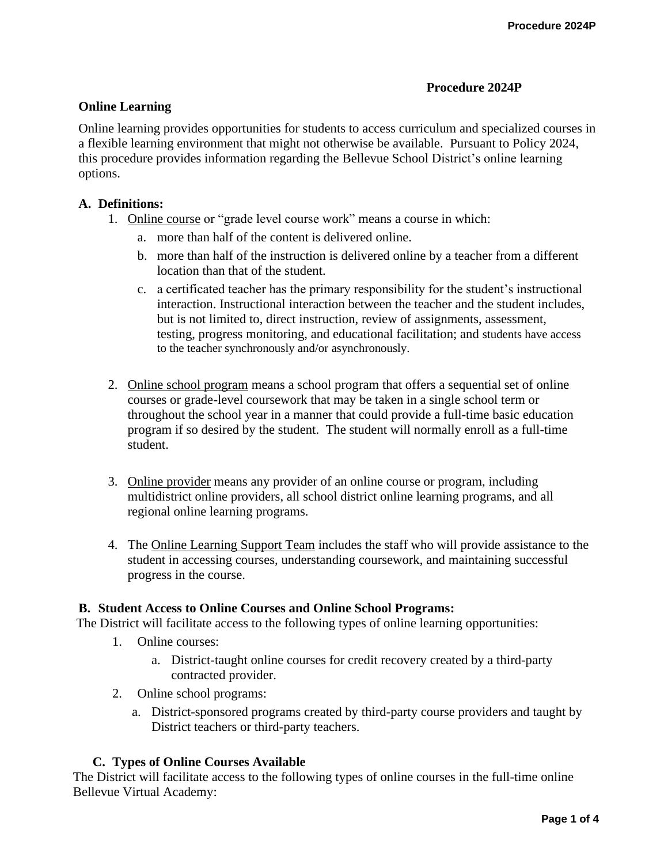### **Procedure 2024P**

## **Online Learning**

Online learning provides opportunities for students to access curriculum and specialized courses in a flexible learning environment that might not otherwise be available. Pursuant to Policy 2024, this procedure provides information regarding the Bellevue School District's online learning options.

## **A. Definitions:**

- 1. Online course or "grade level course work" means a course in which:
	- a. more than half of the content is delivered online.
	- b. more than half of the instruction is delivered online by a teacher from a different location than that of the student.
	- c. a certificated teacher has the primary responsibility for the student's instructional interaction. Instructional interaction between the teacher and the student includes, but is not limited to, direct instruction, review of assignments, assessment, testing, progress monitoring, and educational facilitation; and students have access to the teacher synchronously and/or asynchronously.
- 2. Online school program means a school program that offers a sequential set of online courses or grade-level coursework that may be taken in a single school term or throughout the school year in a manner that could provide a full-time basic education program if so desired by the student. The student will normally enroll as a full-time student.
- 3. Online provider means any provider of an online course or program, including multidistrict online providers, all school district online learning programs, and all regional online learning programs.
- 4. The Online Learning Support Team includes the staff who will provide assistance to the student in accessing courses, understanding coursework, and maintaining successful progress in the course.

### **B. Student Access to Online Courses and Online School Programs:**

The District will facilitate access to the following types of online learning opportunities:

- 1. Online courses:
	- a. District-taught online courses for credit recovery created by a third-party contracted provider.
- 2. Online school programs:
	- a. District-sponsored programs created by third-party course providers and taught by District teachers or third-party teachers.

# **C. Types of Online Courses Available**

The District will facilitate access to the following types of online courses in the full-time online Bellevue Virtual Academy: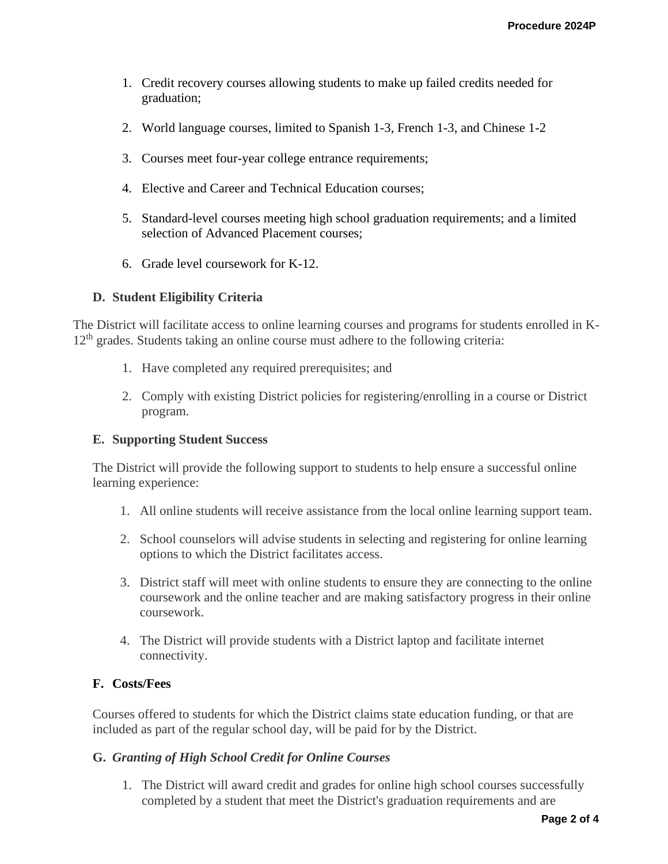- 1. Credit recovery courses allowing students to make up failed credits needed for graduation;
- 2. World language courses, limited to Spanish 1-3, French 1-3, and Chinese 1-2
- 3. Courses meet four-year college entrance requirements;
- 4. Elective and Career and Technical Education courses;
- 5. Standard-level courses meeting high school graduation requirements; and a limited selection of Advanced Placement courses;
- 6. Grade level coursework for K-12.

## **D. Student Eligibility Criteria**

The District will facilitate access to online learning courses and programs for students enrolled in K-12<sup>th</sup> grades. Students taking an online course must adhere to the following criteria:

- 1. Have completed any required prerequisites; and
- 2. Comply with existing District policies for registering/enrolling in a course or District program.

### **E. Supporting Student Success**

The District will provide the following support to students to help ensure a successful online learning experience:

- 1. All online students will receive assistance from the local online learning support team.
- 2. School counselors will advise students in selecting and registering for online learning options to which the District facilitates access.
- 3. District staff will meet with online students to ensure they are connecting to the online coursework and the online teacher and are making satisfactory progress in their online coursework.
- 4. The District will provide students with a District laptop and facilitate internet connectivity.

# **F. Costs/Fees**

Courses offered to students for which the District claims state education funding, or that are included as part of the regular school day, will be paid for by the District.

### **G.** *Granting of High School Credit for Online Courses*

1. The District will award credit and grades for online high school courses successfully completed by a student that meet the District's graduation requirements and are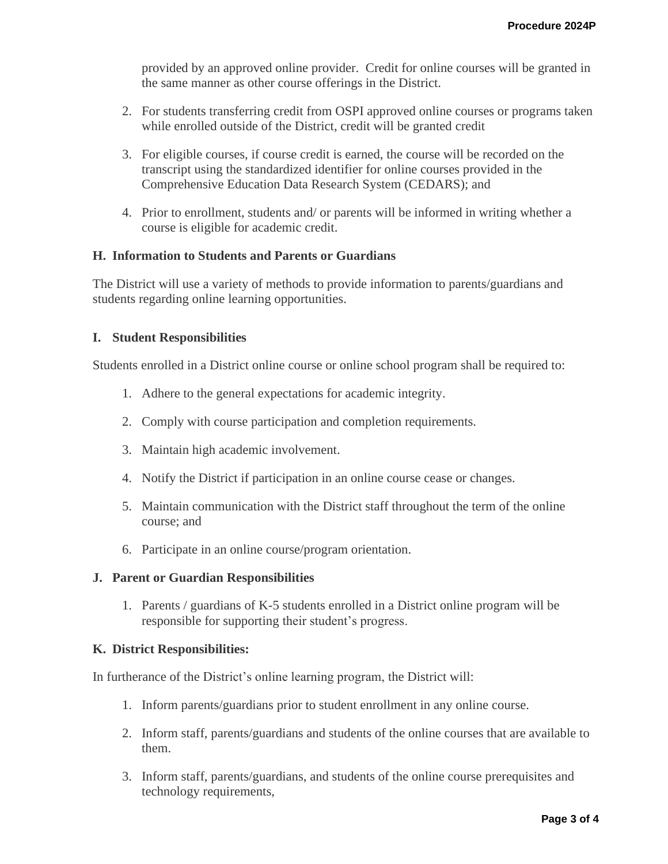provided by an approved online provider. Credit for online courses will be granted in the same manner as other course offerings in the District.

- 2. For students transferring credit from OSPI approved online courses or programs taken while enrolled outside of the District, credit will be granted credit
- 3. For eligible courses, if course credit is earned, the course will be recorded on the transcript using the standardized identifier for online courses provided in the Comprehensive Education Data Research System (CEDARS); and
- 4. Prior to enrollment, students and/ or parents will be informed in writing whether a course is eligible for academic credit.

## **H. Information to Students and Parents or Guardians**

The District will use a variety of methods to provide information to parents/guardians and students regarding online learning opportunities.

### **I. Student Responsibilities**

Students enrolled in a District online course or online school program shall be required to:

- 1. Adhere to the general expectations for academic integrity.
- 2. Comply with course participation and completion requirements.
- 3. Maintain high academic involvement.
- 4. Notify the District if participation in an online course cease or changes.
- 5. Maintain communication with the District staff throughout the term of the online course; and
- 6. Participate in an online course/program orientation.

### **J. Parent or Guardian Responsibilities**

1. Parents / guardians of K-5 students enrolled in a District online program will be responsible for supporting their student's progress.

### **K. District Responsibilities:**

In furtherance of the District's online learning program, the District will:

- 1. Inform parents/guardians prior to student enrollment in any online course.
- 2. Inform staff, parents/guardians and students of the online courses that are available to them.
- 3. Inform staff, parents/guardians, and students of the online course prerequisites and technology requirements,